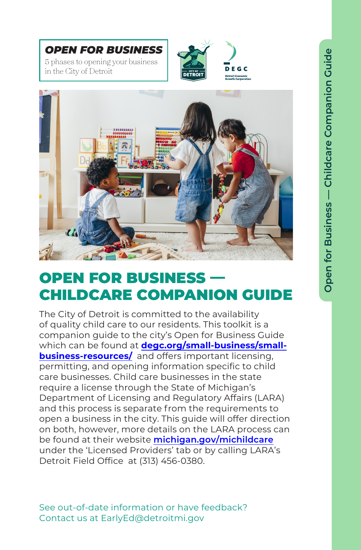*OPEN FOR BUSINESS* 5 phases to opening your business in the City of Detroit



**EGC** 



## OPEN FOR BUSINESS -CHILDCARE COMPANION GUIDE

The City of Detroit is committed to the availability of quality child care to our residents. This toolkit is a companion guide to the city's Open for Business Guide which can be found at **[degc.org/small-business/small](http://www.degc.org/small-business/small-business-resources/)business-resources/** and offers important licensing, permitting, and opening information specific to child care businesses. Child care businesses in the state require a license through the State of Michigan's Department of Licensing and Regulatory Affairs (LARA) and this process is separate from the requirements to open a business in the city. This guide will offer direction on both, however, more details on the LARA process can be found at their website **[michigan.gov/michildcare](http://michigan.gov/michildcare)** under the 'Licensed Providers' tab or by calling LARA's Detroit Field Office at (313) 456-0380.

See out-of-date information or have feedback? Contact us at EarlyEd@detroitmi.gov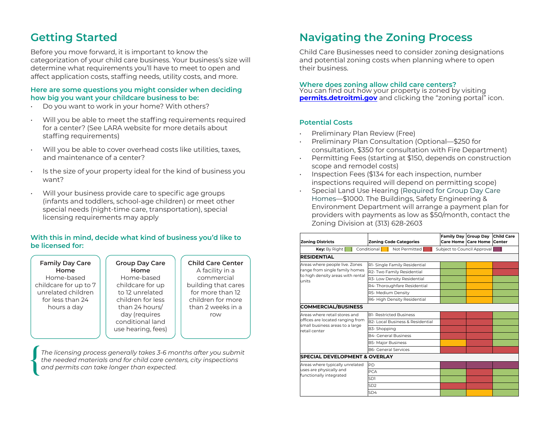Before you move forward, it is important to know the categorization of your child care business. Your business's size will determine what requirements you'll have to meet to open and affect application costs, staffing needs, utility costs, and more.

#### **Here are some questions you might consider when deciding how big you want your childcare business to be:**

- Do you want to work in your home? With others?
- Will you be able to meet the staffing requirements required for a center? (See LARA website for more details about staffing requirements)
- Will you be able to cover overhead costs like utilities, taxes, and maintenance of a center?
- Is the size of your property ideal for the kind of business you want?
- Will your business provide care to specific age groups (infants and toddlers, school-age children) or meet other special needs (night-time care, transportation), special licensing requirements may apply

### **With this in mind, decide what kind of business you'd like to be licensed for:**

| <b>Family Day Care</b><br>Home<br>Home-based<br>childcare for up to 7<br>unrelated children<br>for less than 24<br>hours a day | <b>Group Day Care</b><br>Home<br>Home-based<br>childcare for up<br>to 12 unrelated<br>children for less<br>than 24 hours/<br>day (requires<br>conditional land<br>use hearing, fees) | <b>Child Care Center</b><br>A facility in a<br>commercial<br>building that cares<br>for more than 12<br>children for more<br>than 2 weeks in a<br>row |
|--------------------------------------------------------------------------------------------------------------------------------|--------------------------------------------------------------------------------------------------------------------------------------------------------------------------------------|-------------------------------------------------------------------------------------------------------------------------------------------------------|
|                                                                                                                                |                                                                                                                                                                                      |                                                                                                                                                       |

*The licensing process generally takes 3-6 months after you submit the needed materials and for child care centers, city inspections and permits can take longer than expected.* 

### **Getting Started Navigating the Zoning Process**

Child Care Businesses need to consider zoning designations and potential zoning costs when planning where to open their business.

#### **Where does zoning allow child care centers?**

You can find out how your property is zoned by visiting **[permits.detroitmi.gov](http://permits.detroitmi.gov/)** and clicking the "zoning portal" icon.

#### **Potential Costs**

- Preliminary Plan Review (Free)
- Preliminary Plan Consultation (Optional—\$250 for consultation, \$350 for consultation with Fire Department)
- Permitting Fees (starting at \$150, depends on construction scope and remodel costs)
- Inspection Fees (\$134 for each inspection, number inspections required will depend on permitting scope)
- $\cdot$  Special Land Use Hearing (Required for Group Day Care Homes—\$1000. The Buildings, Safety Engineering & Environment Department will arrange a payment plan for providers with payments as low as \$50/month, contact the Zoning Division at (313) 628-2603 You can find out how your property is zoned by visiting detroitdevelopment.org and clicking the

| <b>Zoning Districts</b>                                                                                               |                             | <b>Zoning Code Categories</b>    | Family Day Group Day        | Care Home Care Home Center | <b>Child Care</b> |
|-----------------------------------------------------------------------------------------------------------------------|-----------------------------|----------------------------------|-----------------------------|----------------------------|-------------------|
| <b>Key:</b> By Right $\begin{bmatrix} 1 \end{bmatrix}$                                                                | Conditional [121]           | Not Permitted                    | Subject to Council Approval |                            |                   |
| <b>RESIDENTIAL</b>                                                                                                    |                             |                                  |                             |                            |                   |
| Areas where people live. Zones<br>range from single family homes<br>to high density areas with rental<br>units        |                             | R1- Single Family Residential    |                             |                            |                   |
|                                                                                                                       |                             | R2- Two Family Residential       |                             |                            |                   |
|                                                                                                                       |                             | R3- Low Density Residential      |                             |                            |                   |
|                                                                                                                       |                             | R4-Thoroughfare Residential      |                             |                            |                   |
|                                                                                                                       | R5- Medium Density          |                                  |                             |                            |                   |
|                                                                                                                       |                             | R6- High Density Residential     |                             |                            |                   |
| <b>COMMERCIAL/BUSINESS</b>                                                                                            |                             |                                  |                             |                            |                   |
| Areas where retail stores and<br>offices are located ranging from<br>small business areas to a large<br>retail center |                             | <b>B1- Restricted Business</b>   |                             |                            |                   |
|                                                                                                                       |                             | B2- Local Business & Residential |                             |                            |                   |
|                                                                                                                       | B3-Shopping                 |                                  |                             |                            |                   |
|                                                                                                                       | <b>B4- General Business</b> |                                  |                             |                            |                   |
|                                                                                                                       | <b>B5- Major Business</b>   |                                  |                             |                            |                   |
|                                                                                                                       | <b>B6- General Services</b> |                                  |                             |                            |                   |
| <b>SPECIAL DEVELOPMENT &amp; OVERLAY</b>                                                                              |                             |                                  |                             |                            |                   |
| Areas where typically unrelated<br>uses are physically and<br>functionally integrated                                 | <b>PD</b>                   |                                  |                             |                            |                   |
|                                                                                                                       | <b>PCA</b>                  |                                  |                             |                            |                   |
|                                                                                                                       | SD1                         |                                  |                             |                            |                   |
|                                                                                                                       | SD <sub>2</sub>             |                                  |                             |                            |                   |
|                                                                                                                       | SD4                         |                                  |                             |                            |                   |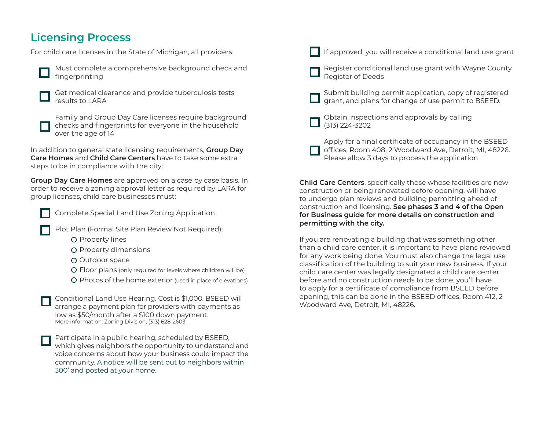### **Licensing Process**

For child care licenses in the State of Michigan, all providers:



Must complete a comprehensive background check and fingerprinting



Get medical clearance and provide tuberculosis tests results to LARA

Family and Group Day Care licenses require background checks and fingerprints for everyone in the household over the age of 14

In addition to general state licensing requirements, **Group Day Care Homes** and **Child Care Centers** have to take some extra steps to be in compliance with the city:

**Group Day Care Homes** are approved on a case by case basis. In order to receive a zoning approval letter as required by LARA for group licenses, child care businesses must:



Complete Special Land Use Zoning Application

- Plot Plan (Formal Site Plan Review Not Required):
	- **O** Property lines
	- O Property dimensions
	- O Outdoor space
	- Floor plans (only required for levels where children will be)
	- O Photos of the home exterior (used in place of elevations)

Conditional Land Use Hearing. Cost is \$1,000. BSEED will arrange a payment plan for providers with payments as low as \$50/month after a \$100 down payment. More information: Zoning Division, (313) 628-2603

Participate in a public hearing, scheduled by BSEED, which gives neighbors the opportunity to understand and voice concerns about how your business could impact the community. A notice will be sent out to neighbors within 300' and posted at your home.



If approved, you will receive a conditional land use grant

- Register conditional land use grant with Wayne County Register of Deeds
- Submit building permit application, copy of registered grant, and plans for change of use permit to BSEED.
- Obtain inspections and approvals by calling (313) 224-3202
- Apply for a final certificate of occupancy in the BSEED offices, Room 408, 2 Woodward Ave, Detroit, MI, 48226. Please allow 3 days to process the application

**Child Care Centers**, specifically those whose facilities are new construction or being renovated before opening, will have to undergo plan reviews and building permitting ahead of construction and licensing. **See phases 3 and 4 of the Open for Business guide for more details on construction and permitting with the city.**

If you are renovating a building that was something other than a child care center, it is important to have plans reviewed for any work being done. You must also change the legal use classification of the building to suit your new business. If your child care center was legally designated a child care center before and no construction needs to be done, you'll have to apply for a certificate of compliance from BSEED before opening, this can be done in the BSEED offices, Room 412, 2 Woodward Ave, Detroit, MI, 48226.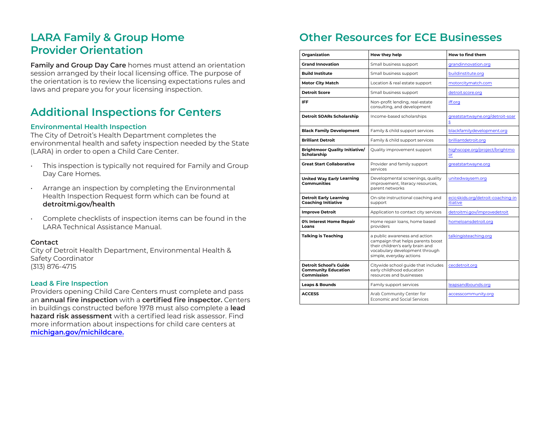### **LARA Family & Group Home Provider Orientation**

**Family and Group Day Care** homes must attend an orientation session arranged by their local licensing office. The purpose of the orientation is to review the licensing expectations rules and laws and prepare you for your licensing inspection.

### **Additional Inspections for Centers**

### **Environmental Health Inspection**

The City of Detroit's Health Department completes the environmental health and safety inspection needed by the State (LARA) in order to open a Child Care Center.

- This inspection is typically not required for Family and Group Day Care Homes.
- Arrange an inspection by completing the Environmental Health Inspection Request form which can be found at **detroitmi.gov/health**
- Complete checklists of inspection items can be found in the LARA Technical Assistance Manual.

#### **Contact**

City of Detroit Health Department, Environmental Health & Safety Coordinator (313) 876-4715

#### **Lead & Fire Inspection**

Providers opening Child Care Centers must complete and pass an **annual fire inspection** with a **certified fire inspector.** Centers in buildings constructed before 1978 must also complete a **lead hazard risk assessment** with a certified lead risk assessor. Find more information about inspections for child care centers at **[michigan.gov/michildcare.](http://michigan.gov/michildcare)**

# **Other Resources for ECE Businesses**

| Organization                                                              | How they help                                                                                                                                                        | How to find them                              |
|---------------------------------------------------------------------------|----------------------------------------------------------------------------------------------------------------------------------------------------------------------|-----------------------------------------------|
| <b>Grand Innovation</b>                                                   | Small business support                                                                                                                                               | grandinnovation.org                           |
| <b>Build Institute</b>                                                    | Small business support                                                                                                                                               | buildinstitute.org                            |
| <b>Motor City Match</b>                                                   | Location & real estate support                                                                                                                                       | motorcitymatch.com                            |
| <b>Detroit Score</b>                                                      | Small business support                                                                                                                                               | detroit.score.org                             |
| <b>IFF</b>                                                                | Non-profit lending, real-estate<br>consulting, and development                                                                                                       | iff.org                                       |
| Detroit SOARs Scholarship                                                 | Income-based scholarships                                                                                                                                            | greatstartwayne.org/detroit-soar<br>s         |
| <b>Black Family Development</b>                                           | Family & child support services                                                                                                                                      | blackfamilydevelopment.org                    |
| <b>Brilliant Detroit</b>                                                  | Family & child support services                                                                                                                                      | brilliantdetroit.org                          |
| <b>Brightmoor Quality Initiative/</b><br>Scholarship                      | Quality improvement support                                                                                                                                          | highscope.org/project/brightmo<br>or          |
| <b>Great Start Collaborative</b>                                          | Provider and family support<br>services                                                                                                                              | greatstartwayne.org                           |
| <b>United Way Early Learning</b><br><b>Communities</b>                    | Developmental screenings, quality<br>improvement, literacy resources,<br>parent networks                                                                             | unitedwaysem.org                              |
| <b>Detroit Early Learning</b><br><b>Coaching Initiative</b>               | On-site instructional coaching and<br>support                                                                                                                        | ecic4kids.org/detroit-coaching-in<br>itiative |
| <b>Improve Detroit</b>                                                    | Application to contact city services                                                                                                                                 | detroitmi.gov/improvedetroit                  |
| 0% Interest Home Repair<br>Loans                                          | Home repair loans, home based<br>providers                                                                                                                           | homeloansdetroit.org                          |
| <b>Talking is Teaching</b>                                                | a public awareness and action<br>campaign that helps parents boost<br>their children's early brain and<br>vocabulary development through<br>simple, everyday actions | talkingisteaching.org                         |
| <b>Detroit School's Guide</b><br><b>Community Education</b><br>Commission | Citywide school guide that includes<br>early childhood education<br>resources and businesses                                                                         | cecdetroit.org                                |
| <b>Leaps &amp; Bounds</b>                                                 | Family support services                                                                                                                                              | leapsandbounds.org                            |
| <b>ACCESS</b>                                                             | Arab Community Center for<br><b>Economic and Social Services</b>                                                                                                     | accesscommunity.org                           |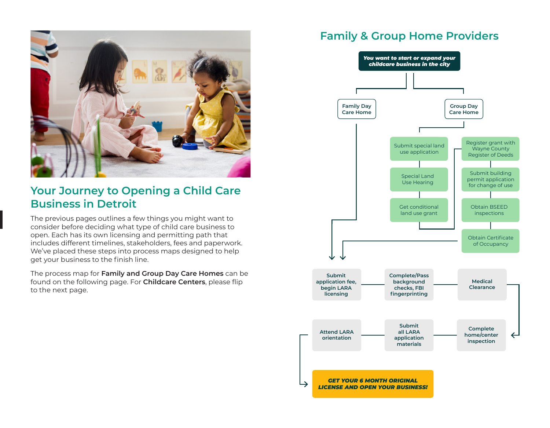

### **Your Journey to Opening a Child Care Business in Detroit**

The previous pages outlines a few things you might want to consider before deciding what type of child care business to open. Each has its own licensing and permitting path that includes different timelines, stakeholders, fees and paperwork. We've placed these steps into process maps designed to help get your business to the finish line.

The process map for **Family and Group Day Care Homes** can be found on the following page. For **Childcare Centers**, please flip to the next page.

### **Family & Group Home Providers**

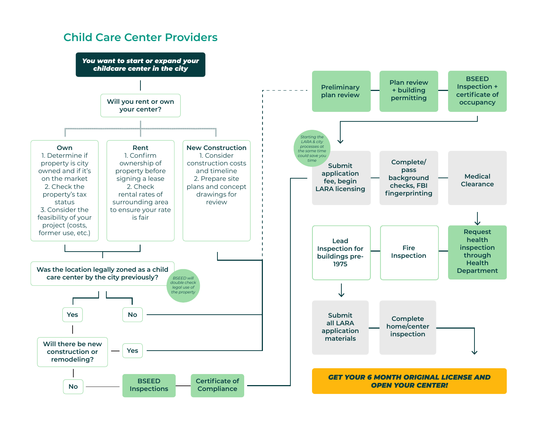### **Child Care Center Providers**